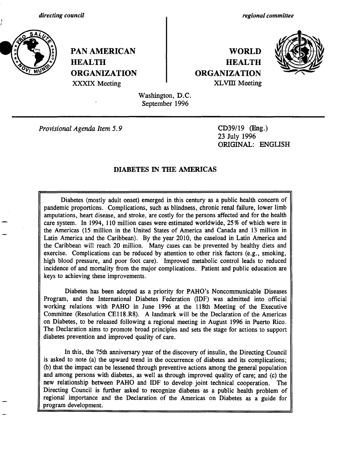*directing council*



\_

**PAN AMERICAN HEALTH ORGANIZATION** XXXIX Meeting

*regional committee*

## **WORLD HEALTH ORGANIZATION** XLVIII Meeting



Washington, D.C. September 1996

*Provisional Agenda Item 5.9* CD39/19 (Eng.)

23 July 1996 ORIGINAL: ENGLISH

#### DIABETES IN **THE AMERICAS**

Diabetes (mostly adult onset) emerged in this century as a public health concern of pandemic proportions. Complications, such as blindness, chronic renal failure, lower limb amputations, heart disease, and stroke, are costly for the persons affected and for the health care system. In 1994, 110 million cases were estimated worldwide, 25% of which were in the Americas (15 million in the United States of America and Canada and 13 million in Latin America and the Caribbean). By the year 2010, the caseload in Latin America and the Caribbean will reach 20 million. Many cases can be prevented by healthy diets and exercise. Complications can be reduced by attention to other risk factors (e.g., smoking, high blood pressure, and poor foot care). Improved metabolic control leads to reduced incidence of and mortality from the major complications. Patient and public education are keys to achieving these improvements.

Diabetes has been adopted as a priority for PAHO's Noncommunicable Diseases Program, and the International Diabetes Federation (IDF) was admitted into official working relations with PAHO in June 1996 at the 118th Meeting of the Executive Committee (Resolution CE118.R8). A landmark will be the Declaration of the Americas on Diabetes, to be released following a regional meeting in August 1996 in Puerto Rico. The Declaration aims to promote broad principles and sets the stage for actions to support diabetes prevention and improved quality of care.

In this, the 75th anniversary year of the discovery of insulin, the Directing Council is asked to note (a) the upward trend in the occurrence of diabetes and its complications; (b) that the impact can be lessened through preventive actions among the general population and among persons with diabetes, as well as through improved quality of care; and (c) the new relationship between PAHO and IDF to develop joint technical cooperation. The Directing Council is further asked to recognize diabetes as a public health problem of regional importance and the Declaration of the Americas on Diabetes as a guide for program development.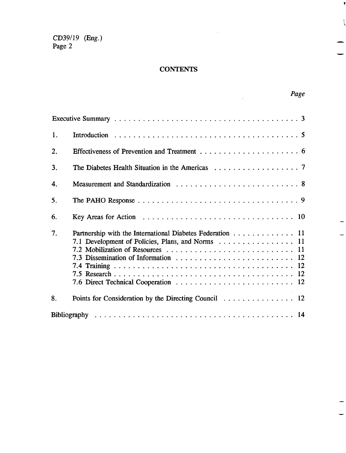### **CONTENTS**

 $\bar{\gamma}$ 

 $\mathbf{r}$ 

 $\mathbf{I}$ 

|    |                                                                                                               | Page |
|----|---------------------------------------------------------------------------------------------------------------|------|
|    |                                                                                                               |      |
| 1. |                                                                                                               |      |
| 2. |                                                                                                               |      |
| 3. |                                                                                                               |      |
| 4. |                                                                                                               |      |
| 5. |                                                                                                               |      |
| 6. |                                                                                                               |      |
| 7. | Partnership with the International Diabetes Federation 11<br>7.1 Development of Policies, Plans, and Norms 11 |      |
| 8. | Points for Consideration by the Directing Council 12                                                          |      |
|    |                                                                                                               |      |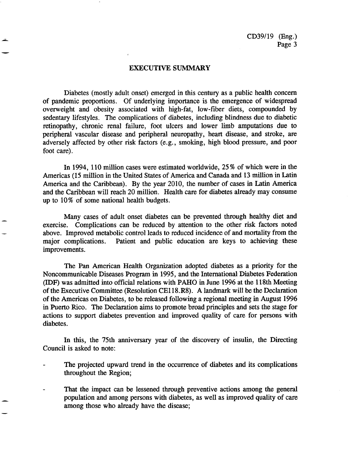#### EXECUTIVE SUMMARY

Diabetes (mostly adult onset) emerged in this century as a public health concern of pandemic proportions. Of underlying importance is the emergence of widespread overweight and obesity associated with high-fat, low-fiber diets, compounded by sedentary lifestyles. The complications of diabetes, including blindness due to diabetic retinopathy, chronic renal failure, foot ulcers and lower limb amputations due to peripheral vascular disease and peripheral neuropathy, heart disease, and stroke, are adversely affected by other risk factors (e.g., smoking, high blood pressure, and poor foot care).

In 1994, 110 million cases were estimated worldwide, 25 % of which were in the Americas (15 million in the United States of America and Canada and 13 million in Latin America and the Caribbean). By the year 2010, the number of cases in Latin America and the Caribbean will reach 20 million. Health care for diabetes already may consume up to 10% of some national health budgets.

Many cases of adult onset diabetes can be prevented through healthy diet and exercise. Complications can be reduced by attention to the other risk factors noted above. Improved metabolic control leads to reduced incidence of and mortality from the major complications. Patient and public education are keys to achieving these improvements.

The Pan American Health Organization adopted diabetes as a priority for the Noncommunicable Diseases Program in 1995, and the International Diabetes Federation (IDF) was admitted into official relations with PAHO in June 1996 at the 118th Meeting of the Executive Committee (Resolution CE118.R8). A landmark will be the Declaration of the Americas on Diabetes, to be released following a regional meeting in August 1996 in Puerto Rico. The Declaration aims to promote broad principles and sets the stage for actions to support diabetes prevention and improved quality of care for persons with diabetes.

In this, the 75th anniversary year of the discovery of insulin, the Directing Council is asked to note:

- The projected upward trend in the occurrence of diabetes and its complications throughout the Region;
- That the impact can be lessened through preventive actions among the general population and among persons with diabetes, as well as improved quality of care among those who already have the disease;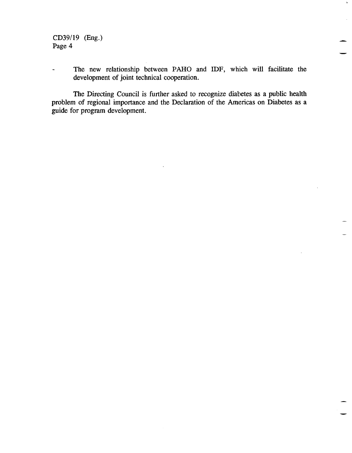- The new relationship between PAHO and IDF, which will facilitate the development of joint technical cooperation.

 $\bar{\mathbf{z}}$ 

The Directing Council is further asked to recognize diabetes as a public health problem of regional importance and the Declaration of the Americas on Diabetes as a guide for program development.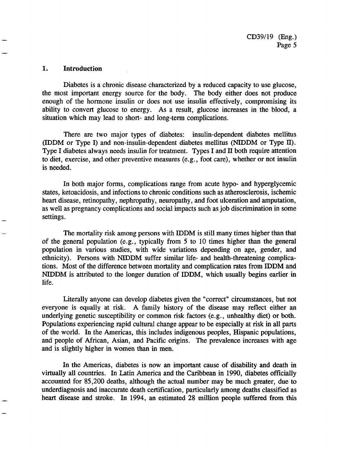#### 1. **Introduction**

Diabetes is a chronic disease characterized by a reduced capacity to use glucose, the most important energy source for the body. The body either does not produce enough of the hormone insulin or does not use insulin effectively, compromising its ability to convert glucose to energy. As a result, glucose increases in the blood, a situation which may lead to short- and long-term complications.

There are two major types of diabetes: insulin-dependent diabetes mellitus (IDDM or Type I) and non-insulin-dependent diabetes mellitus (NIDDM or Type II). Type I diabetes always needs insulin for treatment. Types I and II both require attention to diet, exercise, and other preventive measures (e.g., foot care), whether or not insulin is needed.

In both major forms, complications range from acute hypo- and hyperglycemic states, ketoacidosis, and infections to chronic conditions such as atherosclerosis, ischemic heart disease, retinopathy, nephropathy, neuropathy, and foot ulceration and amputation, as well as pregnancy complications and social impacts such as job discrimination in some settings.

The mortality risk among persons with IDDM is still many times higher than that of the general population (e.g., typically from 5 to 10 times higher than the general population in various studies, with wide variations depending on age, gender, and ethnicity). Persons with NIDDM suffer similar life- and health-threatening complications. Most of the difference between mortality and complication rates from IDDM and NIDDM is attributed to the longer duration of IDDM, which usually begins earlier in life.

Literally anyone can develop diabetes given the "correct" circumstances, but not everyone is equally at risk. A family history of the disease may reflect either an underlying genetic susceptibility or common risk factors (e.g., unhealthy diet) or both. Populations experiencing rapid cultural change appear to be especially at risk in all parts of the world. In the Americas, this includes indigenous peoples, Hispanic populations, and people of African, Asian, and Pacific origins. The prevalence increases with age and is slightly higher in women than in men.

In the Americas, diabetes is now an important cause of disability and death in virtually all countries. In Latin America and the Caribbean in 1990, diabetes officially accounted for 85,200 deaths, although the actual number may be much greater, due to underdiagnosis and inaccurate death certification, particularly among deaths classified as heart disease and stroke. In 1994, an estimated 28 million people suffered from this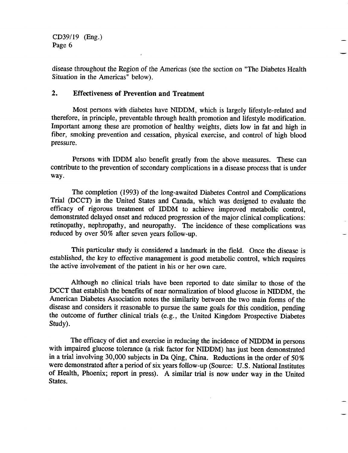disease throughout the Region of the Americas (see the section on "The Diabetes Health Situation in the Americas" below).

#### 2. Effectiveness **of Prevention and Treatment**

Most persons with diabetes have NIDDM, which is largely lifestyle-related and therefore, in principle, preventable through health promotion and lifestyle modification. Important among these are promotion of healthy weights, diets low in fat and high in fiber, smoking prevention and cessation, physical exercise, and control of high blood pressure.

Persons with IDDM also benefit greatly from the above measures. These can contribute to the prevention of secondary complications in a disease process that is under way.

The completion (1993) of the long-awaited Diabetes Control and Complications Trial (DCCT) in the United States and Canada, which was designed to evaluate the efficacy of rigorous treatment of IDDM to achieve improved metabolic control, demonstrated delayed onset and reduced progression of the major clinical complications: retinopathy, nephropathy, and neuropathy. The incidence of these complications was reduced by over 50% after seven years follow-up.

This particular study is considered a landmark in the field. Once the disease is established, the key to effective management is good metabolic control, which requires the active involvement of the patient in his or her own care.

Although no clinical trials have been reported to date similar to those of the DCCT that establish the benefits of near normalization of blood glucose in NIDDM, the American Diabetes Association notes the similarity between the two main forms of the disease and considers it reasonable to pursue the same goals for this condition, pending the outcome of further clinical trials (e.g., the United Kingdom Prospective Diabetes Study).

The efficacy of diet and exercise in reducing the incidence of NIDDM in persons with impaired glucose tolerance (a risk factor for NIDDM) has just been demonstrated in a trial involving 30,000 subjects in Da Qing, China. Reductions in the order of 50% were demonstrated after a period of six years follow-up (Source: U.S. National Institutes of Health, Phoenix; report in press). A similar trial is now under way in the United States.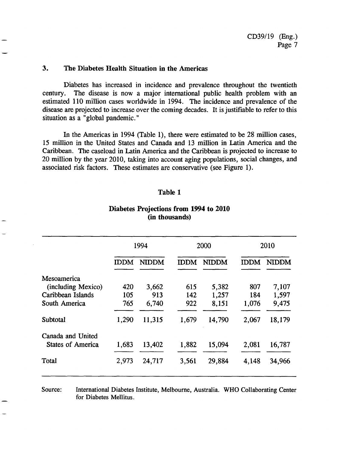#### **3. The Diabetes Health Situation in the Americas**

Diabetes has increased in incidence and prevalence throughout the twentieth century. The disease is now a major international public health problem with an estimated 110 million cases worldwide in 1994. The incidence and prevalence of the disease are projected to increase over the coming decades. It is justifiable to refer to this situation as a "global pandemic."

In the Americas in 1994 (Table 1), there were estimated to be 28 million cases, 15 million in the United States and Canada and 13 million in Latin America and the Caribbean. The caseload in Latin America and the Caribbean is projected to increase to 20 million by the year 2010, taking into account aging populations, social changes, and associated risk factors. These estimates are conservative (see Figure 1).

#### **Table 1**

#### **Diabetes Projections from 1994 to 2010 (in thousands)**

|                          | 1994        |              | 2000        |              | 2010        |              |
|--------------------------|-------------|--------------|-------------|--------------|-------------|--------------|
|                          | <b>IDDM</b> | <b>NIDDM</b> | <b>IDDM</b> | <b>NIDDM</b> | <b>IDDM</b> | <b>NIDDM</b> |
| Mesoamerica              |             |              |             |              |             |              |
| (including Mexico)       | 420         | 3,662        | 615         | 5,382        | 807         | 7,107        |
| Caribbean Islands        | 105         | 913          | 142         | 1,257        | 184         | 1,597        |
| South America            | 765         | 6,740        | 922         | 8,151        | 1,076       | 9,475        |
| <b>Subtotal</b>          | 1,290       | 11,315       | 1,679       | 14,790       | 2,067       | 18,179       |
| Canada and United        |             |              |             |              |             |              |
| <b>States of America</b> | 1,683       | 13,402       | 1,882       | 15,094       | 2,081       | 16,787       |
| Total                    | 2,973       | 24,717       | 3,561       | 29,884       | 4,148       | 34,966       |
|                          |             |              |             |              |             |              |

Source: International Diabetes Institute, Melbourne, Australia. WHO Collaborating Center for Diabetes Mellitus.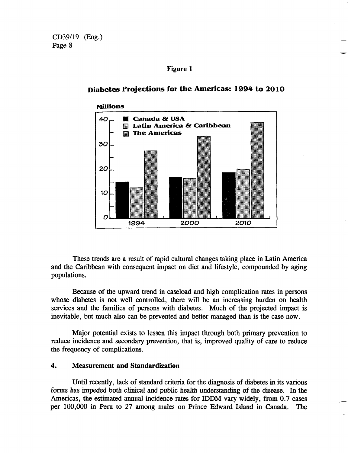#### **Figure 1**

# **Millions** *4-0* \_ **Canada &i USA Latin America & Caribbean ' The Americas** 30 *20 \_-*  $10$ OL JA KARAKARA LA JA KARAKARA LA JA KARAKARA LA J 1994 **'010**

<u>2000 - 2000 - 2000 - 2000 - 2000 - 2000 - 2000 - 2000 - 2000 - 2000 - 2000 - 2000 - 2000 - 2000 - 2000 - 2000 - 2000 - 2000 - 2000 - 2000 - 2000 - 2000 - 2000 - 2000 - 2000 - 2000 - 2000 - 2000 - 2000 - 2000 - 2000 - 2000</u>

#### **Diabetes Projections for the Americas: 1994 to 2010**

These trends are a result of rapid cultural changes taking place in Latin America and the Caribbean with consequent impact on diet and lifestyle, compounded by aging populations.

Because of the upward trend in caseload and high complication rates in persons whose diabetes is not well controlled, there will be an increasing burden on health services and the families of persons with diabetes. Much of the projected impact is inevitable, but much also can be prevented and better managed than is the case now.

Major potential exists to lessen this impact through both primary prevention to reduce incidence and secondary prevention, that is, improved quality of care to reduce the frequency of complications.

#### 4. **Measurement and Standardization**

Until recently, lack of standard criteria for the diagnosis of diabetes in its various forms has impeded both clinical and public health understanding of the disease. In the Americas, the estimated annual incidence rates for IDDM vary widely, from 0.7 cases per 100,000 in Peru to 27 among males on Prince Edward Island in Canada. The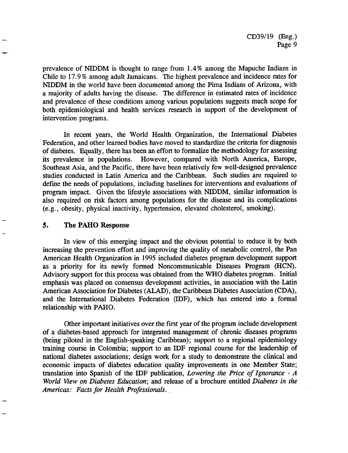prevalence of NIDDM is thought to range from 1.4% among the Mapuche Indians in Chile to 17.9 % among adult Jamaicans. The highest prevalence and incidence rates for NIDDM in the world have been documented among the Pima Indians of Arizona, with a majority of adults having the disease. The difference in estimated rates of incidence and prevalence of these conditions among various populations suggests much scope for both epidemiological and health services research in support of the development of intervention programs.

In recent years, the World Health Organization, the International Diabetes Federation, and other learned bodies have moved to standardize the criteria for diagnosis of diabetes. Equally, there has been an effort to formalize the methodology for assessing its prevalence in populations. However, compared with North America, Europe, Southeast Asia, and the Pacific, there have been relatively few well-designed prevalence studies conducted in Latin America and the Caribbean. Such studies are required to define the needs of populations, including baselines for interventions and evaluations of program impact. Given the lifestyle associations with NIDDM, similar information is also required on risk factors among populations for the disease and its complications (e.g., obesity, physical inactivity, hypertension, elevated cholesterol, smoking).

#### *5.* **The PAHO Response**

In view of this emerging impact and the obvious potential to reduce it by both increasing the prevention effort and improving the quality of metabolic control, the Pan American Health Organization in 1995 included diabetes program development support as a priority for its newly formed Noncommunicable Diseases Program (HCN). Advisory support for this process was obtained from the WHO diabetes program. Initial emphasis was placed on consensus development activities, in association with the Latin American Association for Diabetes (ALAD), the Caribbean Diabetes Association (CDA), and the International Diabetes Federation (IDF), which has entered into a formal relationship with PAHO.

Other important initiatives over the first year of the program include development of a diabetes-based approach for integrated management of chronic diseases programs (being piloted in the English-speaking Caribbean); support to a regional epidemiology training course in Colombia; support to an IDF regional course for the leadership of national diabetes associations; design work for a study to demonstrate the clinical and economic impacts of diabetes education quality improvements in one Member State; translation into Spanish of the IDF publication, *Lowering the Price of Ignorance - A World View on Diabetes Education;* and release of a brochure entitled *Diabetes in the Americas: Facts for Health Professionals.*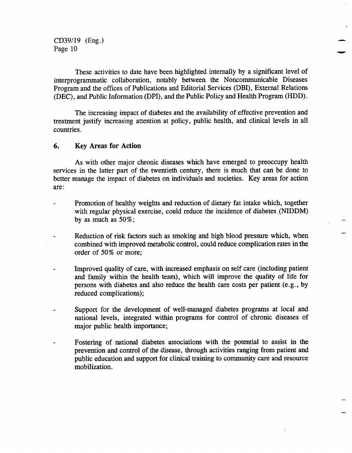These activities to date have been highlighted internally by a significant level of interprogrammatic collaboration, notably between the Noncommunicable Diseases Program and the offices of Publications and Editorial Services (DBI), External Relations (DEC), and Public Information (DPI), and the Public Policy and Health Program (HDD).

The increasing impact of diabetes and the availability of effective prevention and treatment justify increasing attention at policy, public health, and clinical levels in all countries.

#### 6. Key Areas **for Action**

As with other major chronic diseases which have emerged to preoccupy health services in the latter part of the twentieth century, there is much that can be done to better manage the impact of diabetes on individuals and societies. Key areas for action are:

- Promotion of healthy weights and reduction of dietary fat intake which, together  $\overline{a}$ with regular physical exercise, could reduce the incidence of diabetes, (NIDDM) by as much as 50%;
- Reduction of risk factors such as smoking and high blood pressure which, when combined with improved metabolic control, could reduce: complication rates in the order of 50% or more;
- Improved quality of care, with increased emphasis on self care (including patient and family within the health team), which will improve the quality of life for persons with diabetes and also reduce the health care costs per patient (e.g., by reduced complications);
- Support for the development of well-managed diabetes programs at local and national levels, integrated within programs for control of chronic diseases of major public health importance;
- Fostering of national diabetes associations with the potential to assist in the  $\overline{\phantom{a}}$ prevention and control of the disease, through activities ranging from patient and public education and support for clinical training to community care and resource mobilization.

 $\ddot{\phantom{a}}$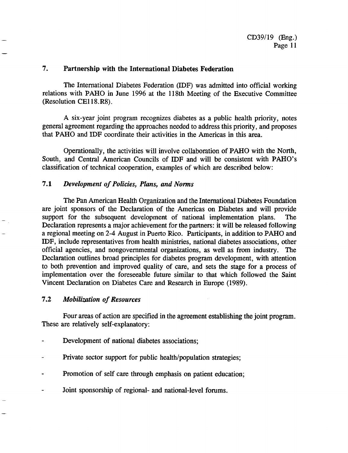#### **7. Partnership with the International Diabetes Federation**

The International Diabetes Federation (IDF) was admitted into official working relations with PAHO in June 1996 at the 118th Meeting of the Executive Committee (Resolution CE118.R8).

A six-year joint program recognizes diabetes as a public health priority, notes general agreement regarding the approaches needed to address this priority, and proposes that PAHO and IDF coordinate their activities in the Americas in this area.

Operationally, the activities will involve collaboration of PAHO with the North, South, and Central American Councils of IDF and will be consistent with PAHO's classification of technical cooperation, examples of which are described below:

#### 7.1 *Development of Policies, Plans, and Norms*

The Pan American Health Organization and the International Diabetes Foundation are joint sponsors of the Declaration of the Americas on Diabetes and will provide support for the subsequent development of national implementation plans. The Declaration represents a major achievement for the partners: it will be released following a regional meeting on 2-4 August in Puerto Rico. Participants, in addition to PAHO and IDF, include representatives from health ministries, national diabetes associations, other official agencies, and nongovernmental organizations, as well as from industry. The Declaration outlines broad principles for diabetes program development, with attention to both prevention and improved quality of care, and sets the stage for a process of implementation over the foreseeable future similar to that which followed the Saint Vincent Declaration on Diabetes Care and Research in Europe (1989).

#### 7.2 *Mobilization of Resources*

Four areas of action are specified in the agreement establishing the joint program. These are relatively self-explanatory:

- Development of national diabetes associations;
- Private sector support for public health/population strategies;
- Promotion of self care through emphasis on patient education;
- Joint sponsorship of regional- and national-level forums.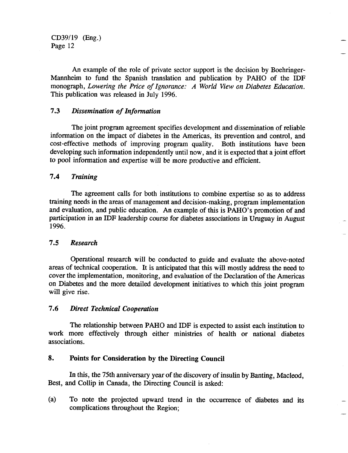An example of the role of private sector support is the decision by Boehringer-Mannheim to fund the Spanish translation and publication by PAHO of the IDF monograph, *Lowering the Price of Ignorance: A World View on Diabetes Education.* This publication was released in July 1996.

#### 7.3 *Dissemination of Information*

The joint program agreement specifies development and dissemination of reliable information on the impact of diabetes in the Americas, its prevention and control, and cost-effective methods of improving program quality. Both institutions have been developing such information independently until now, and it is expected that a joint effort to pool information and expertise will be more productive and efficient.

#### *7.4 Training*

The agreement calls for both institutions to combine expertise so as to address training needs in the areas of management and decision-making, program implementation and evaluation, and public education. An example of this is PAHO's promotion of and participation in an IDF leadership course for diabetes associations in Uruguay in August 1996.

#### *7.5 Research*

Operational research will be conducted to guide and evaluate the above-noted areas of technical cooperation. It is anticipated that this will mostly address the need to cover the implementation, monitoring, and evaluation of the Declaration of the Americas on Diabetes and the more detailed development initiatives to which this joint program will give rise.

#### *7.6 Direct Technical Cooperation*

The relationship between PAHO and IDF is expected to assist each institution to work more effectively through either ministries of health or national diabetes associations.

#### **8. Points for Consideration by the Directing Council**

In this, the 75th anniversary year of the discovery of insulin by Banting, Macleod, Best, and Collip in Canada, the Directing Council is asked:

(a) To note the projected upward trend in the occurrence of diabetes and its complications throughout the Region;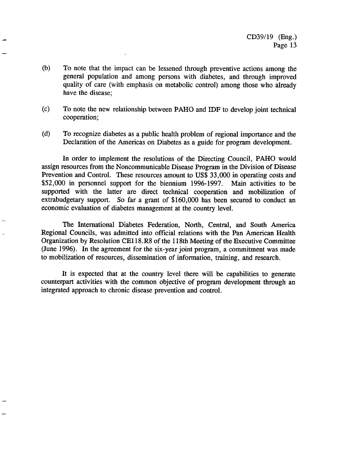- (b) To note that the impact can be lessened through preventive actions among the general population and among persons with diabetes, and through improved quality of care (with emphasis on metabolic control) among those who already have the disease;
- (c) To note the new relationship between PAHO and IDF to develop joint technical cooperation;
- (d) To recognize diabetes as a public health problem of regional importance and the Declaration of the Americas on Diabetes as a guide for program development.

In order to implement the resolutions of the Directing Council, PAHO would assign resources from the Noncommunicable Disease Program in the Division of Disease Prevention and Control. These resources amount to US\$ 33,000 in operating costs and \$52,000 in personnel support for the biennium 1996-1997. Main activities to be supported with the latter are direct technical cooperation and mobilization of extrabudgetary support. So far a grant of \$160,000 has been secured to conduct an economic evaluation of diabetes management at the country level.

The International Diabetes Federation, North, Central, and South America Regional Councils, was admitted into official relations with the Pan American Health Organization by Resolution CE118.R8 of the 118th Meeting of the Executive Committee (June 1996). In the agreement for the six-year joint program, a commitment was made to mobilization of resources, dissemination of information, training, and research.

It is expected that at the country level there will be capabilities to generate counterpart activities with the common objective of program development through an integrated approach to chronic disease prevention and control.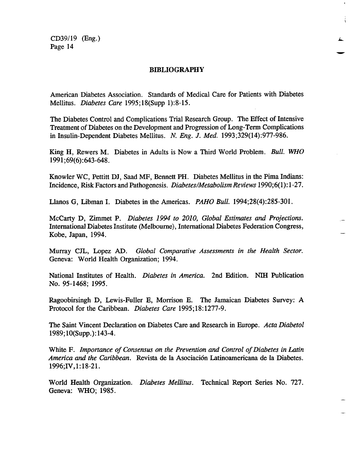#### BIBLIOGRAPHY

ł.

American Diabetes Association. Standards of Medical Care for Patients with Diabetes Mellitus. *Diabetes Care* 1995;18(Supp 1):8-15.

The Diabetes Control and Complications Trial Research Group. The Effect of Intensive Treatment of Diabetes on the Development and Progression of Long-Term Complications in Insulin-Dependent Diabetes Mellitus. *N. Eng. J. Med.* 1993;329(14):977-986.

King H, Rewers M. Diabetes in Adults is Now a Third Worldl Problem. *Bull. WHO* 1991 ;69(6):643-648.

Knowler WC, Pettitt DJ, Saad MF, Bennett PH. Diabetes Mellitus in the Pima Indians: Incidence, Risk Factors and Pathogenesis. *Diabetes/Metabolism Reviews* 1990;6(1):1-27.

Llanos G, Libman I. Diabetes in the Americas. *PAHO Bull.* 1994;28(4):285-301.

McCarty D, Zimmet P. *Diabetes 1994 to 2010, Global Estimates and Projections.* International Diabetes Institute (Melbourne), International Diabetes Federation Congress, Kobe, Japan, 1994.

Murray CJL, Lopez AD. *Global Comparative Assessments in the Health Sector.* Geneva: World Health Organization; 1994.

National Institutes of Health. *Diabetes in America.* 2nd Edition. NIH Publication No. 95-1468; 1995.

Ragoobirsingh D, Lewis-Fuller E, Morrison E. The Jamaican Diabetes Survey: A Protocol for the Caribbean. *Diabetes Care* 1995;18:1277-9.

The Saint Vincent Declaration on Diabetes Care and Research in Europe. *Acta Diabetol* 1989; 10(Supp.): 143-4.

White F. *Importance of Consensus on the Prevention and Control of Diabetes in Latin America and the Caribbean.* Revista de la Asociación Latinoamericana de la Diabetes. 1996;IV,1:18-21.

World Health Organization. *Diabetes Mellitus.* Technical Report Series No. 727. Geneva: WHO; 1985.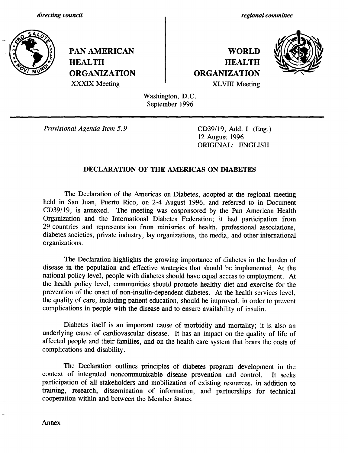*regional committee*



**PAN AMERICAN WORLD HEALTH HEALTH ORGANIZATION ORGANIZATION**



XXXIX Meeting **XLVIII** Meeting

Washington, D.C. September 1996

*Provisional Agenda Item 5.9* CD39/19, Add. I (Eng.)

12 August 1996 ORIGINAL: ENGLISH

#### **DECLARATION** OF **THE** AMERICAS ON **DIABETES**

The Declaration of the Americas on Diabetes, adopted at the regional meeting held in San Juan, Puerto Rico, on 2-4 August 1996, and referred to in Document CD39/19, is annexed. The meeting was cosponsored by the Pan American Health Organization and the International Diabetes Federation; it had participation from 29 countries and representation from ministries of health, professional associations, diabetes societies, private industry, lay organizations, the media, and other international organizations.

The Declaration highlights the growing importance of diabetes in the burden of disease in the population and effective strategies that should be implemented. At the national policy level, people with diabetes should have equal access to employment. At the health policy level, communities should promote healthy diet and exercise for the prevention of the onset of non-insulin-dependent diabetes. At the health services level, the quality of care, including patient education, should be improved, in order to prevent complications in people with the disease and to ensure availability of insulin.

Diabetes itself is an important cause of morbidity and mortality; it is also an underlying cause of cardiovascular disease. It has an impact on the quality of life of affected people and their families, and on the health care system that bears the costs of complications and disability.

The Declaration outlines principles of diabetes program development in the context of integrated noncommunicable disease prevention and control. It seeks participation of all stakeholders and mobilization of existing resources, in addition to training, research, dissemination of information, and partnerships for technical cooperation within and between the Member States.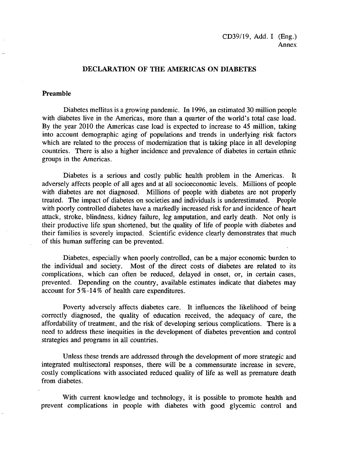#### **DECLARATION** OF **THE AMERICAS ON DIABETES**

#### **Preamble**

Diabetes mellitus is a growing pandemic. In 1996, an estimated 30 million people with diabetes live in the Americas, more than a quarter of the world's total case load. By the year 2010 the Americas case load is expected to increase to 45 million, taking into account demographic aging of populations and trends in underlying risk factors which are related to the process of modernization that is taking place in all developing countries. There is also a higher incidence and prevalence of diabetes in certain ethnic groups in the Americas.

Diabetes is a serious and costly public health problem in the Americas. It adversely affects people of all ages and at all socioeconomic levels. Millions of people with diabetes are not diagnosed. Millions of people with diabetes are not properly treated. The impact of diabetes on societies and individuals is underestimated. People with poorly controlled diabetes have a markedly increased risk for and incidence of heart attack, stroke, blindness, kidney failure, leg amputation, and early death. Not only is their productive life span shortened, but the quality of life of people with diabetes and their families is severely impacted. Scientific evidence clearly demonstrates that much of this human suffering can be prevented.

Diabetes, especially when poorly controlled, can be a major economic burden to the individual and society. Most of the direct costs of diabetes are related to its complications, which can often be reduced, delayed in onset, or, in certain cases, prevented. Depending on the country, available estimates indicate that diabetes may account for 5 %-14% of health care expenditures.

Poverty adversely affects diabetes care. It influences the likelihood of being correctly diagnosed, the quality of education received, the adequacy of care, the affordability of treatment, and the risk of developing serious complications. There is a need to address these inequities in the development of diabetes prevention and control strategies and programs in all countries.

Unless these trends are addressed through the development of more strategic and integrated multisectoral responses, there will be a commensurate increase in severe, costly complications with associated reduced quality of life as well as premature death from diabetes.

With current knowledge and technology, it is possible to promote health and prevent complications in people with diabetes with good glycemic control and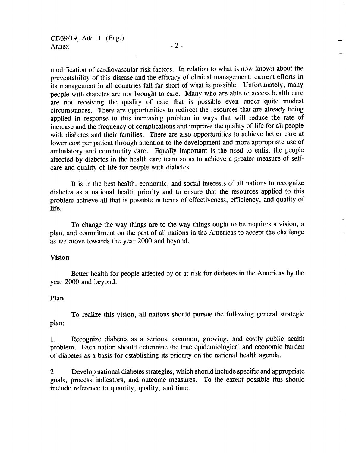modification of cardiovascular risk factors. In relation to what is now known about the preventability of this disease and the efficacy of clinical management, current efforts in its management in all countries fall far short of what is possible. Unfortunately, many people with diabetes are not brought to care. Many who are able to access health care are not receiving the quality of care that is possible even under quite modest circumstances. There are opportunities to redirect the resources that are already being applied in response to this increasing problem in ways that will reduce the rate of increase and the frequency of complications and improve the quality of life for all people with diabetes and their families. There are also opportunities to achieve better care at lower cost per patient through attention to the development and more appropriate use of ambulatory and community care. Equally important is the need to enlist the people affected by diabetes in the health care team so as to achieve a greater measure of selfcare and quality of life for people with diabetes.

It is in the best health, economic, and social interests of all nations to recognize diabetes as a national health priority and to ensure that the resources applied to this problem achieve all that is possible in terms of effectiveness, efficiency, and quality of life.

To change the way things are to the way things ought to be requires a vision, a plan, and commitment on the part of all nations in the Americas to accept the challenge as we move towards the year 2000 and beyond.

#### **Vision**

Better health for people affected by or at risk for diabetes in the Americas by the year 2000 and beyond.

#### **Plan**

To realize this vision, all nations should pursue the following general strategic plan:

1. Recognize diabetes as a serious, common, growing, and costly public health problem. Each nation should determine the true epidemiological and economic burden of diabetes as a basis for establishing its priority on the national health agenda.

2. Develop national diabetes strategies, which should include specific and appropriate goals, process indicators, and outcome measures. To the extent possible this should include reference to quantity, quality, and time.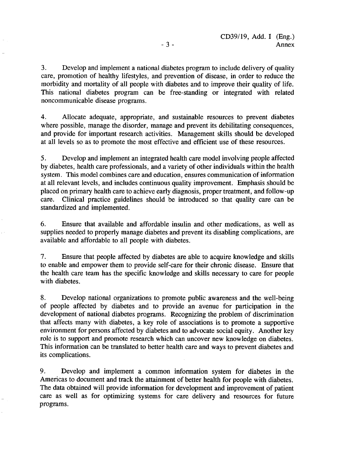3. Develop and implement a national diabetes program to include delivery of quality care, promotion of healthy lifestyles, and prevention of disease, in order to reduce the morbidity and mortality of all people with diabetes and to improve their quality of life. This national diabetes program can be free-standing or integrated with related noncommunicable disease programs.

4. Allocate adequate, appropriate, and sustainable resources to prevent diabetes where possible, manage the disorder, manage and prevent its debilitating consequences, and provide for important research activities. Management skills should be developed at all levels so as to promote the most effective and efficient use of these resources.

5. Develop and implement an integrated health care model involving people affected by diabetes, health care professionals, and a variety of other individuals within the health system. This model combines care and education, ensures communication of information at all relevant levels, and includes continuous quality improvement. Emphasis should be placed on primary health care to achieve early diagnosis, proper treatment, and follow-up care. Clinical practice guidelines should be introduced so that quality care can be standardized and implemented.

6. Ensure that available and affordable insulin and other medications, as well as supplies needed to properly manage diabetes and prevent its disabling complications, are available and affordable to all people with diabetes.

7. Ensure that people affected by diabetes are able to acquire knowledge and skills to enable and empower them to provide self-care for their chronic disease. Ensure that the health care team has the specific knowledge and skills necessary to care for people with diabetes.

8. Develop national organizations to promote public awareness and the well-being of people affected by diabetes and to provide an avenue for participation in the development of national diabetes programs. Recognizing the problem of discrimination that affects many with diabetes, a key role of associations is to promote a supportive environment for persons affected by diabetes and to advocate social equity. Another key role is to support and promote research which can uncover new knowledge on diabetes. This information can be translated to better health care and ways to prevent diabetes and its complications.

9. Develop and implement a common information system for diabetes in the Americas to document and track the attainment of better health for people with diabetes. The data obtained will provide information for development and improvement of patient care as well as for optimizing systems for care delivery and resources for future programs.